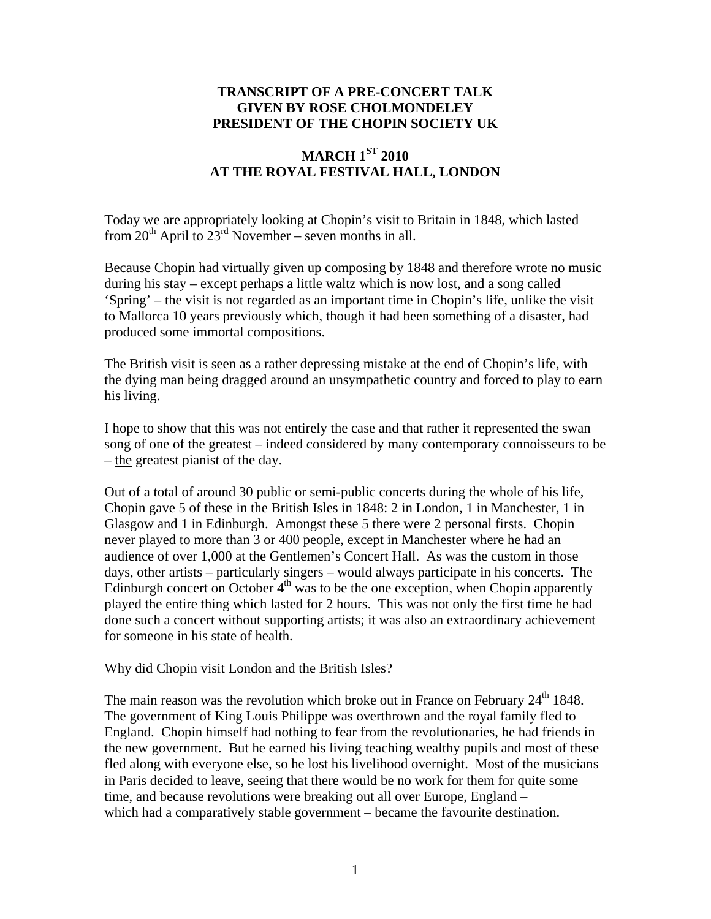## **TRANSCRIPT OF A PRE-CONCERT TALK GIVEN BY ROSE CHOLMONDELEY PRESIDENT OF THE CHOPIN SOCIETY UK**

## **MARCH 1ST 2010 AT THE ROYAL FESTIVAL HALL, LONDON**

Today we are appropriately looking at Chopin's visit to Britain in 1848, which lasted from  $20^{th}$  April to  $23^{rd}$  November – seven months in all.

Because Chopin had virtually given up composing by 1848 and therefore wrote no music during his stay – except perhaps a little waltz which is now lost, and a song called 'Spring' – the visit is not regarded as an important time in Chopin's life, unlike the visit to Mallorca 10 years previously which, though it had been something of a disaster, had produced some immortal compositions.

The British visit is seen as a rather depressing mistake at the end of Chopin's life, with the dying man being dragged around an unsympathetic country and forced to play to earn his living.

I hope to show that this was not entirely the case and that rather it represented the swan song of one of the greatest – indeed considered by many contemporary connoisseurs to be – the greatest pianist of the day.

Out of a total of around 30 public or semi-public concerts during the whole of his life, Chopin gave 5 of these in the British Isles in 1848: 2 in London, 1 in Manchester, 1 in Glasgow and 1 in Edinburgh. Amongst these 5 there were 2 personal firsts. Chopin never played to more than 3 or 400 people, except in Manchester where he had an audience of over 1,000 at the Gentlemen's Concert Hall. As was the custom in those days, other artists – particularly singers – would always participate in his concerts. The Edinburgh concert on October  $4<sup>th</sup>$  was to be the one exception, when Chopin apparently played the entire thing which lasted for 2 hours. This was not only the first time he had done such a concert without supporting artists; it was also an extraordinary achievement for someone in his state of health.

Why did Chopin visit London and the British Isles?

The main reason was the revolution which broke out in France on February  $24<sup>th</sup> 1848$ . The government of King Louis Philippe was overthrown and the royal family fled to England. Chopin himself had nothing to fear from the revolutionaries, he had friends in the new government. But he earned his living teaching wealthy pupils and most of these fled along with everyone else, so he lost his livelihood overnight. Most of the musicians in Paris decided to leave, seeing that there would be no work for them for quite some time, and because revolutions were breaking out all over Europe, England – which had a comparatively stable government – became the favourite destination.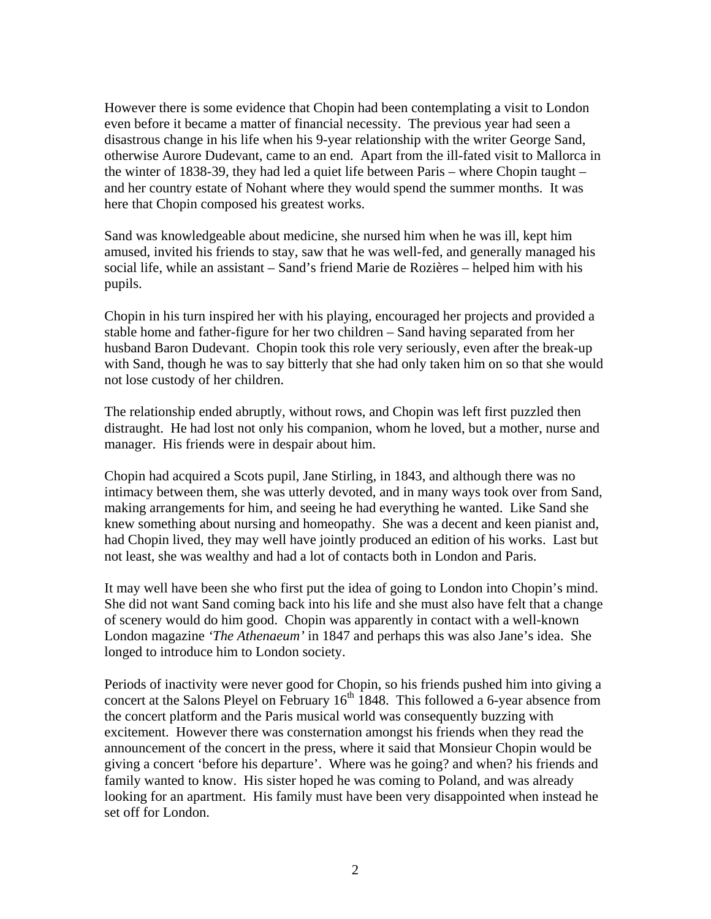However there is some evidence that Chopin had been contemplating a visit to London even before it became a matter of financial necessity. The previous year had seen a disastrous change in his life when his 9-year relationship with the writer George Sand, otherwise Aurore Dudevant, came to an end. Apart from the ill-fated visit to Mallorca in the winter of 1838-39, they had led a quiet life between Paris – where Chopin taught – and her country estate of Nohant where they would spend the summer months. It was here that Chopin composed his greatest works.

Sand was knowledgeable about medicine, she nursed him when he was ill, kept him amused, invited his friends to stay, saw that he was well-fed, and generally managed his social life, while an assistant – Sand's friend Marie de Rozières – helped him with his pupils.

Chopin in his turn inspired her with his playing, encouraged her projects and provided a stable home and father-figure for her two children – Sand having separated from her husband Baron Dudevant. Chopin took this role very seriously, even after the break-up with Sand, though he was to say bitterly that she had only taken him on so that she would not lose custody of her children.

The relationship ended abruptly, without rows, and Chopin was left first puzzled then distraught. He had lost not only his companion, whom he loved, but a mother, nurse and manager. His friends were in despair about him.

Chopin had acquired a Scots pupil, Jane Stirling, in 1843, and although there was no intimacy between them, she was utterly devoted, and in many ways took over from Sand, making arrangements for him, and seeing he had everything he wanted. Like Sand she knew something about nursing and homeopathy. She was a decent and keen pianist and, had Chopin lived, they may well have jointly produced an edition of his works. Last but not least, she was wealthy and had a lot of contacts both in London and Paris.

It may well have been she who first put the idea of going to London into Chopin's mind. She did not want Sand coming back into his life and she must also have felt that a change of scenery would do him good. Chopin was apparently in contact with a well-known London magazine *'The Athenaeum'* in 1847 and perhaps this was also Jane's idea. She longed to introduce him to London society.

Periods of inactivity were never good for Chopin, so his friends pushed him into giving a concert at the Salons Pleyel on February  $16<sup>th</sup> 1848$ . This followed a 6-year absence from the concert platform and the Paris musical world was consequently buzzing with excitement. However there was consternation amongst his friends when they read the announcement of the concert in the press, where it said that Monsieur Chopin would be giving a concert 'before his departure'. Where was he going? and when? his friends and family wanted to know. His sister hoped he was coming to Poland, and was already looking for an apartment. His family must have been very disappointed when instead he set off for London.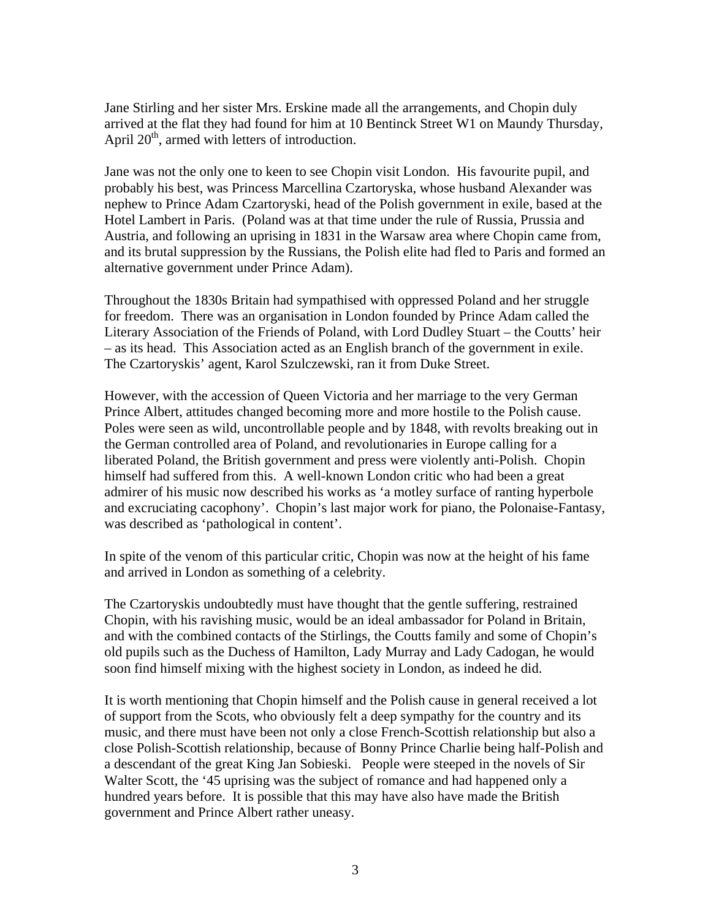Jane Stirling and her sister Mrs. Erskine made all the arrangements, and Chopin duly arrived at the flat they had found for him at 10 Bentinck Street W1 on Maundy Thursday, April  $20<sup>th</sup>$ , armed with letters of introduction.

Jane was not the only one to keen to see Chopin visit London. His favourite pupil, and probably his best, was Princess Marcellina Czartoryska, whose husband Alexander was nephew to Prince Adam Czartoryski, head of the Polish government in exile, based at the Hotel Lambert in Paris. (Poland was at that time under the rule of Russia, Prussia and Austria, and following an uprising in 1831 in the Warsaw area where Chopin came from, and its brutal suppression by the Russians, the Polish elite had fled to Paris and formed an alternative government under Prince Adam).

Throughout the 1830s Britain had sympathised with oppressed Poland and her struggle for freedom. There was an organisation in London founded by Prince Adam called the Literary Association of the Friends of Poland, with Lord Dudley Stuart – the Coutts' heir – as its head. This Association acted as an English branch of the government in exile. The Czartoryskis' agent, Karol Szulczewski, ran it from Duke Street.

However, with the accession of Queen Victoria and her marriage to the very German Prince Albert, attitudes changed becoming more and more hostile to the Polish cause. Poles were seen as wild, uncontrollable people and by 1848, with revolts breaking out in the German controlled area of Poland, and revolutionaries in Europe calling for a liberated Poland, the British government and press were violently anti-Polish. Chopin himself had suffered from this. A well-known London critic who had been a great admirer of his music now described his works as 'a motley surface of ranting hyperbole and excruciating cacophony'. Chopin's last major work for piano, the Polonaise-Fantasy, was described as 'pathological in content'.

In spite of the venom of this particular critic, Chopin was now at the height of his fame and arrived in London as something of a celebrity.

The Czartoryskis undoubtedly must have thought that the gentle suffering, restrained Chopin, with his ravishing music, would be an ideal ambassador for Poland in Britain, and with the combined contacts of the Stirlings, the Coutts family and some of Chopin's old pupils such as the Duchess of Hamilton, Lady Murray and Lady Cadogan, he would soon find himself mixing with the highest society in London, as indeed he did.

It is worth mentioning that Chopin himself and the Polish cause in general received a lot of support from the Scots, who obviously felt a deep sympathy for the country and its music, and there must have been not only a close French-Scottish relationship but also a close Polish-Scottish relationship, because of Bonny Prince Charlie being half-Polish and a descendant of the great King Jan Sobieski. People were steeped in the novels of Sir Walter Scott, the '45 uprising was the subject of romance and had happened only a hundred years before. It is possible that this may have also have made the British government and Prince Albert rather uneasy.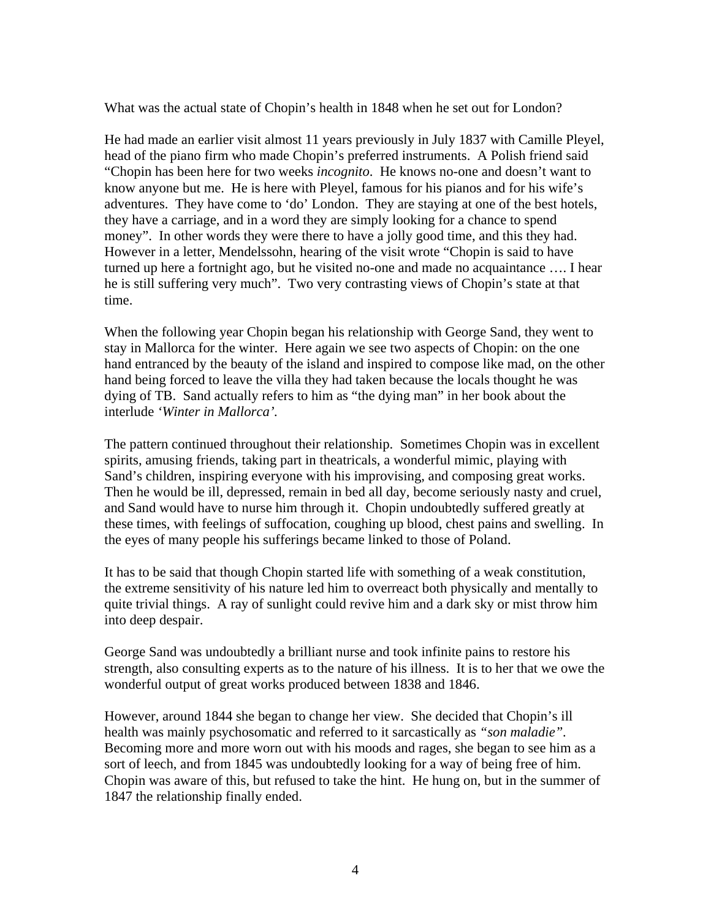What was the actual state of Chopin's health in 1848 when he set out for London?

He had made an earlier visit almost 11 years previously in July 1837 with Camille Pleyel, head of the piano firm who made Chopin's preferred instruments. A Polish friend said "Chopin has been here for two weeks *incognito*. He knows no-one and doesn't want to know anyone but me. He is here with Pleyel, famous for his pianos and for his wife's adventures. They have come to 'do' London. They are staying at one of the best hotels, they have a carriage, and in a word they are simply looking for a chance to spend money". In other words they were there to have a jolly good time, and this they had. However in a letter, Mendelssohn, hearing of the visit wrote "Chopin is said to have turned up here a fortnight ago, but he visited no-one and made no acquaintance …. I hear he is still suffering very much". Two very contrasting views of Chopin's state at that time.

When the following year Chopin began his relationship with George Sand, they went to stay in Mallorca for the winter. Here again we see two aspects of Chopin: on the one hand entranced by the beauty of the island and inspired to compose like mad, on the other hand being forced to leave the villa they had taken because the locals thought he was dying of TB. Sand actually refers to him as "the dying man" in her book about the interlude *'Winter in Mallorca'.*

The pattern continued throughout their relationship. Sometimes Chopin was in excellent spirits, amusing friends, taking part in theatricals, a wonderful mimic, playing with Sand's children, inspiring everyone with his improvising, and composing great works. Then he would be ill, depressed, remain in bed all day, become seriously nasty and cruel, and Sand would have to nurse him through it. Chopin undoubtedly suffered greatly at these times, with feelings of suffocation, coughing up blood, chest pains and swelling. In the eyes of many people his sufferings became linked to those of Poland.

It has to be said that though Chopin started life with something of a weak constitution, the extreme sensitivity of his nature led him to overreact both physically and mentally to quite trivial things. A ray of sunlight could revive him and a dark sky or mist throw him into deep despair.

George Sand was undoubtedly a brilliant nurse and took infinite pains to restore his strength, also consulting experts as to the nature of his illness. It is to her that we owe the wonderful output of great works produced between 1838 and 1846.

However, around 1844 she began to change her view. She decided that Chopin's ill health was mainly psychosomatic and referred to it sarcastically as *"son maladie".* Becoming more and more worn out with his moods and rages, she began to see him as a sort of leech, and from 1845 was undoubtedly looking for a way of being free of him. Chopin was aware of this, but refused to take the hint. He hung on, but in the summer of 1847 the relationship finally ended.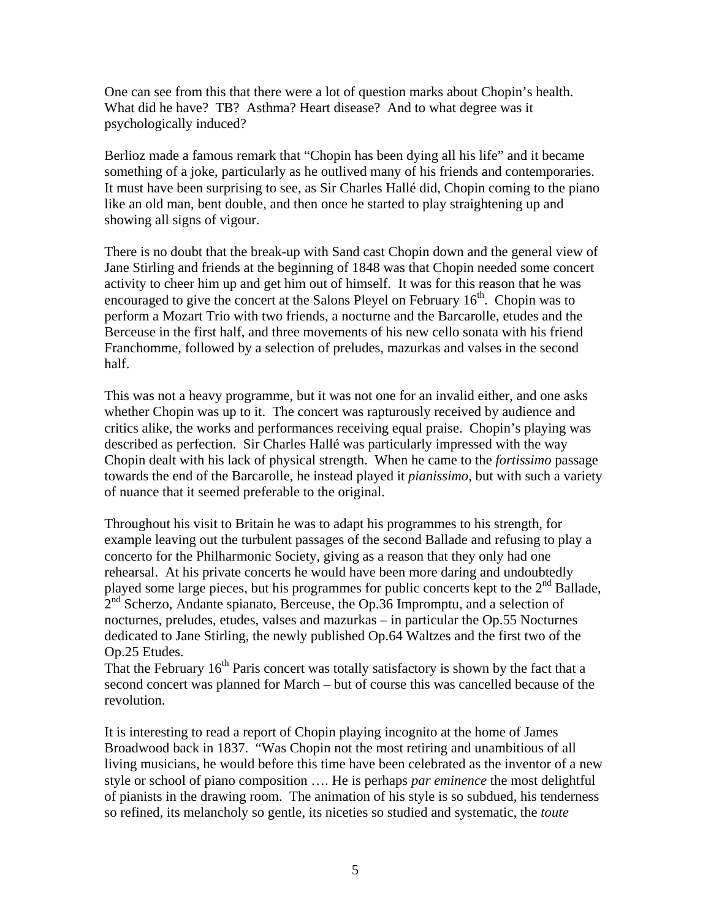One can see from this that there were a lot of question marks about Chopin's health. What did he have? TB? Asthma? Heart disease? And to what degree was it psychologically induced?

Berlioz made a famous remark that "Chopin has been dying all his life" and it became something of a joke, particularly as he outlived many of his friends and contemporaries. It must have been surprising to see, as Sir Charles Hallé did, Chopin coming to the piano like an old man, bent double, and then once he started to play straightening up and showing all signs of vigour.

There is no doubt that the break-up with Sand cast Chopin down and the general view of Jane Stirling and friends at the beginning of 1848 was that Chopin needed some concert activity to cheer him up and get him out of himself. It was for this reason that he was encouraged to give the concert at the Salons Pleyel on February  $16<sup>th</sup>$ . Chopin was to perform a Mozart Trio with two friends, a nocturne and the Barcarolle, etudes and the Berceuse in the first half, and three movements of his new cello sonata with his friend Franchomme, followed by a selection of preludes, mazurkas and valses in the second half.

This was not a heavy programme, but it was not one for an invalid either, and one asks whether Chopin was up to it. The concert was rapturously received by audience and critics alike, the works and performances receiving equal praise. Chopin's playing was described as perfection. Sir Charles Hallé was particularly impressed with the way Chopin dealt with his lack of physical strength. When he came to the *fortissimo* passage towards the end of the Barcarolle, he instead played it *pianissimo*, but with such a variety of nuance that it seemed preferable to the original.

Throughout his visit to Britain he was to adapt his programmes to his strength, for example leaving out the turbulent passages of the second Ballade and refusing to play a concerto for the Philharmonic Society, giving as a reason that they only had one rehearsal. At his private concerts he would have been more daring and undoubtedly played some large pieces, but his programmes for public concerts kept to the  $2<sup>nd</sup>$  Ballade,  $2<sup>nd</sup>$  Scherzo, Andante spianato, Berceuse, the Op.36 Impromptu, and a selection of nocturnes, preludes, etudes, valses and mazurkas – in particular the Op.55 Nocturnes dedicated to Jane Stirling, the newly published Op.64 Waltzes and the first two of the Op.25 Etudes.

That the February  $16<sup>th</sup>$  Paris concert was totally satisfactory is shown by the fact that a second concert was planned for March – but of course this was cancelled because of the revolution.

It is interesting to read a report of Chopin playing incognito at the home of James Broadwood back in 1837. "Was Chopin not the most retiring and unambitious of all living musicians, he would before this time have been celebrated as the inventor of a new style or school of piano composition …. He is perhaps *par eminence* the most delightful of pianists in the drawing room. The animation of his style is so subdued, his tenderness so refined, its melancholy so gentle, its niceties so studied and systematic, the *toute*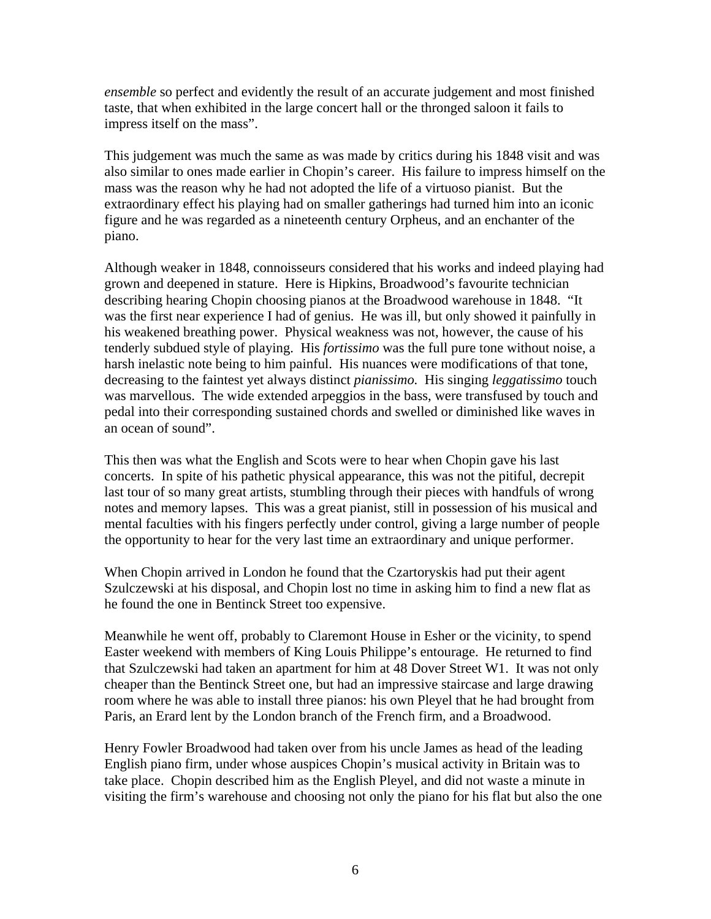*ensemble* so perfect and evidently the result of an accurate judgement and most finished taste, that when exhibited in the large concert hall or the thronged saloon it fails to impress itself on the mass".

This judgement was much the same as was made by critics during his 1848 visit and was also similar to ones made earlier in Chopin's career. His failure to impress himself on the mass was the reason why he had not adopted the life of a virtuoso pianist. But the extraordinary effect his playing had on smaller gatherings had turned him into an iconic figure and he was regarded as a nineteenth century Orpheus, and an enchanter of the piano.

Although weaker in 1848, connoisseurs considered that his works and indeed playing had grown and deepened in stature. Here is Hipkins, Broadwood's favourite technician describing hearing Chopin choosing pianos at the Broadwood warehouse in 1848. "It was the first near experience I had of genius. He was ill, but only showed it painfully in his weakened breathing power. Physical weakness was not, however, the cause of his tenderly subdued style of playing. His *fortissimo* was the full pure tone without noise, a harsh inelastic note being to him painful. His nuances were modifications of that tone, decreasing to the faintest yet always distinct *pianissimo.* His singing *leggatissimo* touch was marvellous. The wide extended arpeggios in the bass, were transfused by touch and pedal into their corresponding sustained chords and swelled or diminished like waves in an ocean of sound".

This then was what the English and Scots were to hear when Chopin gave his last concerts. In spite of his pathetic physical appearance, this was not the pitiful, decrepit last tour of so many great artists, stumbling through their pieces with handfuls of wrong notes and memory lapses. This was a great pianist, still in possession of his musical and mental faculties with his fingers perfectly under control, giving a large number of people the opportunity to hear for the very last time an extraordinary and unique performer.

When Chopin arrived in London he found that the Czartoryskis had put their agent Szulczewski at his disposal, and Chopin lost no time in asking him to find a new flat as he found the one in Bentinck Street too expensive.

Meanwhile he went off, probably to Claremont House in Esher or the vicinity, to spend Easter weekend with members of King Louis Philippe's entourage. He returned to find that Szulczewski had taken an apartment for him at 48 Dover Street W1. It was not only cheaper than the Bentinck Street one, but had an impressive staircase and large drawing room where he was able to install three pianos: his own Pleyel that he had brought from Paris, an Erard lent by the London branch of the French firm, and a Broadwood.

Henry Fowler Broadwood had taken over from his uncle James as head of the leading English piano firm, under whose auspices Chopin's musical activity in Britain was to take place. Chopin described him as the English Pleyel, and did not waste a minute in visiting the firm's warehouse and choosing not only the piano for his flat but also the one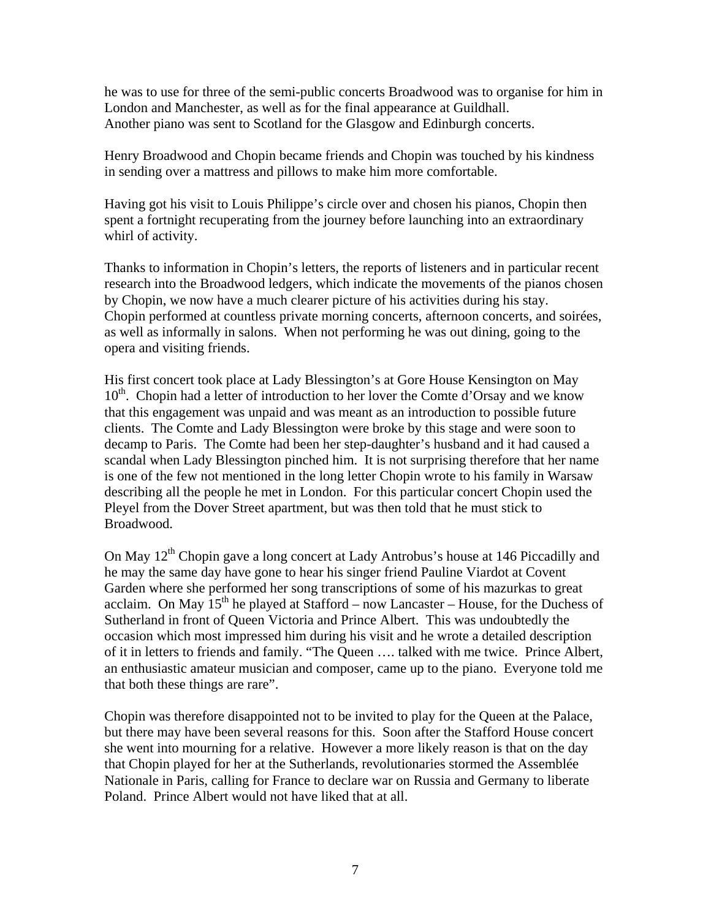he was to use for three of the semi-public concerts Broadwood was to organise for him in London and Manchester, as well as for the final appearance at Guildhall. Another piano was sent to Scotland for the Glasgow and Edinburgh concerts.

Henry Broadwood and Chopin became friends and Chopin was touched by his kindness in sending over a mattress and pillows to make him more comfortable.

Having got his visit to Louis Philippe's circle over and chosen his pianos, Chopin then spent a fortnight recuperating from the journey before launching into an extraordinary whirl of activity.

Thanks to information in Chopin's letters, the reports of listeners and in particular recent research into the Broadwood ledgers, which indicate the movements of the pianos chosen by Chopin, we now have a much clearer picture of his activities during his stay. Chopin performed at countless private morning concerts, afternoon concerts, and soirées, as well as informally in salons. When not performing he was out dining, going to the opera and visiting friends.

His first concert took place at Lady Blessington's at Gore House Kensington on May  $10<sup>th</sup>$ . Chopin had a letter of introduction to her lover the Comte d'Orsay and we know that this engagement was unpaid and was meant as an introduction to possible future clients. The Comte and Lady Blessington were broke by this stage and were soon to decamp to Paris. The Comte had been her step-daughter's husband and it had caused a scandal when Lady Blessington pinched him. It is not surprising therefore that her name is one of the few not mentioned in the long letter Chopin wrote to his family in Warsaw describing all the people he met in London. For this particular concert Chopin used the Pleyel from the Dover Street apartment, but was then told that he must stick to Broadwood.

On May 12<sup>th</sup> Chopin gave a long concert at Lady Antrobus's house at 146 Piccadilly and he may the same day have gone to hear his singer friend Pauline Viardot at Covent Garden where she performed her song transcriptions of some of his mazurkas to great acclaim. On May  $15<sup>th</sup>$  he played at Stafford – now Lancaster – House, for the Duchess of Sutherland in front of Queen Victoria and Prince Albert. This was undoubtedly the occasion which most impressed him during his visit and he wrote a detailed description of it in letters to friends and family. "The Queen …. talked with me twice. Prince Albert, an enthusiastic amateur musician and composer, came up to the piano. Everyone told me that both these things are rare".

Chopin was therefore disappointed not to be invited to play for the Queen at the Palace, but there may have been several reasons for this. Soon after the Stafford House concert she went into mourning for a relative. However a more likely reason is that on the day that Chopin played for her at the Sutherlands, revolutionaries stormed the Assemblée Nationale in Paris, calling for France to declare war on Russia and Germany to liberate Poland. Prince Albert would not have liked that at all.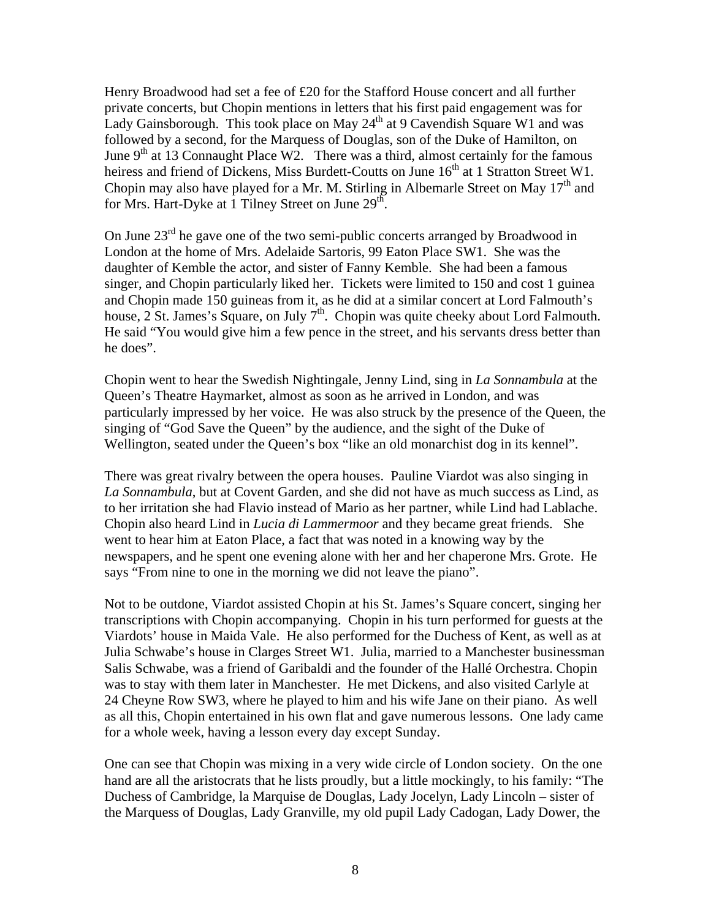Henry Broadwood had set a fee of £20 for the Stafford House concert and all further private concerts, but Chopin mentions in letters that his first paid engagement was for Lady Gainsborough. This took place on May  $24<sup>th</sup>$  at 9 Cavendish Square W1 and was followed by a second, for the Marquess of Douglas, son of the Duke of Hamilton, on June  $9<sup>th</sup>$  at 13 Connaught Place W2. There was a third, almost certainly for the famous heiress and friend of Dickens, Miss Burdett-Coutts on June 16<sup>th</sup> at 1 Stratton Street W1. Chopin may also have played for a Mr. M. Stirling in Albemarle Street on May  $17<sup>th</sup>$  and for Mrs. Hart-Dyke at 1 Tilney Street on June  $29<sup>th</sup>$ .

On June  $23<sup>rd</sup>$  he gave one of the two semi-public concerts arranged by Broadwood in London at the home of Mrs. Adelaide Sartoris, 99 Eaton Place SW1. She was the daughter of Kemble the actor, and sister of Fanny Kemble. She had been a famous singer, and Chopin particularly liked her. Tickets were limited to 150 and cost 1 guinea and Chopin made 150 guineas from it, as he did at a similar concert at Lord Falmouth's house,  $2 \text{ St. James's Square, on July 7<sup>th</sup>. Chopin was quite checky about Lord Falmouth.}$ He said "You would give him a few pence in the street, and his servants dress better than he does".

Chopin went to hear the Swedish Nightingale, Jenny Lind, sing in *La Sonnambula* at the Queen's Theatre Haymarket, almost as soon as he arrived in London, and was particularly impressed by her voice. He was also struck by the presence of the Queen, the singing of "God Save the Queen" by the audience, and the sight of the Duke of Wellington, seated under the Queen's box "like an old monarchist dog in its kennel".

There was great rivalry between the opera houses. Pauline Viardot was also singing in *La Sonnambula*, but at Covent Garden, and she did not have as much success as Lind, as to her irritation she had Flavio instead of Mario as her partner, while Lind had Lablache. Chopin also heard Lind in *Lucia di Lammermoor* and they became great friends. She went to hear him at Eaton Place, a fact that was noted in a knowing way by the newspapers, and he spent one evening alone with her and her chaperone Mrs. Grote. He says "From nine to one in the morning we did not leave the piano".

Not to be outdone, Viardot assisted Chopin at his St. James's Square concert, singing her transcriptions with Chopin accompanying. Chopin in his turn performed for guests at the Viardots' house in Maida Vale. He also performed for the Duchess of Kent, as well as at Julia Schwabe's house in Clarges Street W1. Julia, married to a Manchester businessman Salis Schwabe, was a friend of Garibaldi and the founder of the Hallé Orchestra. Chopin was to stay with them later in Manchester. He met Dickens, and also visited Carlyle at 24 Cheyne Row SW3, where he played to him and his wife Jane on their piano. As well as all this, Chopin entertained in his own flat and gave numerous lessons. One lady came for a whole week, having a lesson every day except Sunday.

One can see that Chopin was mixing in a very wide circle of London society. On the one hand are all the aristocrats that he lists proudly, but a little mockingly, to his family: "The Duchess of Cambridge, la Marquise de Douglas, Lady Jocelyn, Lady Lincoln – sister of the Marquess of Douglas, Lady Granville, my old pupil Lady Cadogan, Lady Dower, the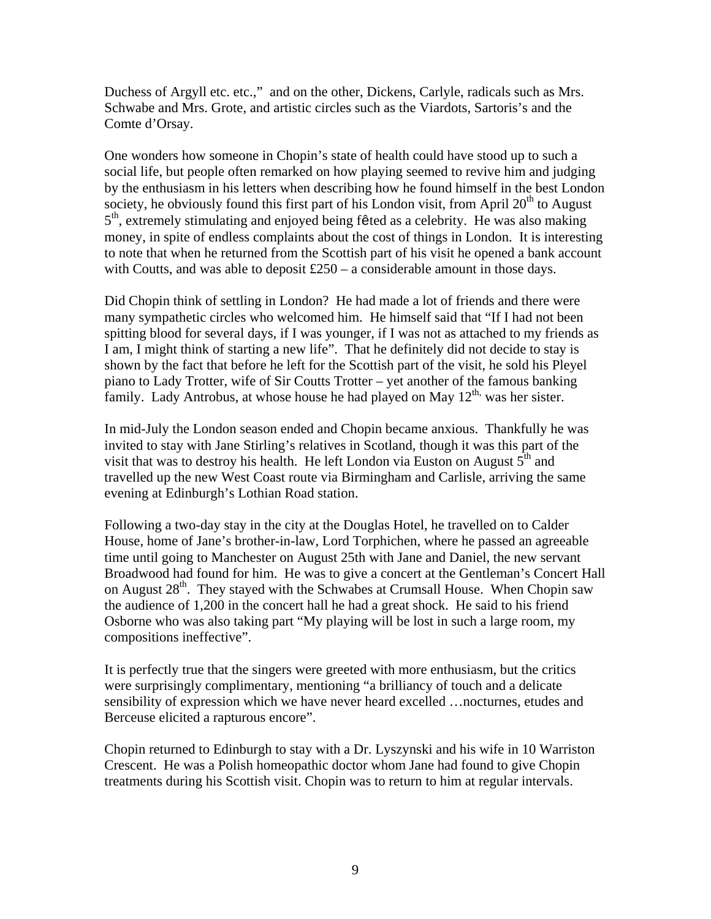Duchess of Argyll etc. etc.," and on the other, Dickens, Carlyle, radicals such as Mrs. Schwabe and Mrs. Grote, and artistic circles such as the Viardots, Sartoris's and the Comte d'Orsay.

One wonders how someone in Chopin's state of health could have stood up to such a social life, but people often remarked on how playing seemed to revive him and judging by the enthusiasm in his letters when describing how he found himself in the best London society, he obviously found this first part of his London visit, from April  $20<sup>th</sup>$  to August  $5<sup>th</sup>$ , extremely stimulating and enjoyed being fêted as a celebrity. He was also making money, in spite of endless complaints about the cost of things in London. It is interesting to note that when he returned from the Scottish part of his visit he opened a bank account with Coutts, and was able to deposit  $£250 - a$  considerable amount in those days.

Did Chopin think of settling in London? He had made a lot of friends and there were many sympathetic circles who welcomed him. He himself said that "If I had not been spitting blood for several days, if I was younger, if I was not as attached to my friends as I am, I might think of starting a new life". That he definitely did not decide to stay is shown by the fact that before he left for the Scottish part of the visit, he sold his Pleyel piano to Lady Trotter, wife of Sir Coutts Trotter – yet another of the famous banking family. Lady Antrobus, at whose house he had played on May  $12<sup>th</sup>$ , was her sister.

In mid-July the London season ended and Chopin became anxious. Thankfully he was invited to stay with Jane Stirling's relatives in Scotland, though it was this part of the visit that was to destroy his health. He left London via Euston on August  $5<sup>th</sup>$  and travelled up the new West Coast route via Birmingham and Carlisle, arriving the same evening at Edinburgh's Lothian Road station.

Following a two-day stay in the city at the Douglas Hotel, he travelled on to Calder House, home of Jane's brother-in-law, Lord Torphichen, where he passed an agreeable time until going to Manchester on August 25th with Jane and Daniel, the new servant Broadwood had found for him. He was to give a concert at the Gentleman's Concert Hall on August  $28<sup>th</sup>$ . They stayed with the Schwabes at Crumsall House. When Chopin saw the audience of 1,200 in the concert hall he had a great shock. He said to his friend Osborne who was also taking part "My playing will be lost in such a large room, my compositions ineffective".

It is perfectly true that the singers were greeted with more enthusiasm, but the critics were surprisingly complimentary, mentioning "a brilliancy of touch and a delicate sensibility of expression which we have never heard excelled …nocturnes, etudes and Berceuse elicited a rapturous encore".

Chopin returned to Edinburgh to stay with a Dr. Lyszynski and his wife in 10 Warriston Crescent. He was a Polish homeopathic doctor whom Jane had found to give Chopin treatments during his Scottish visit. Chopin was to return to him at regular intervals.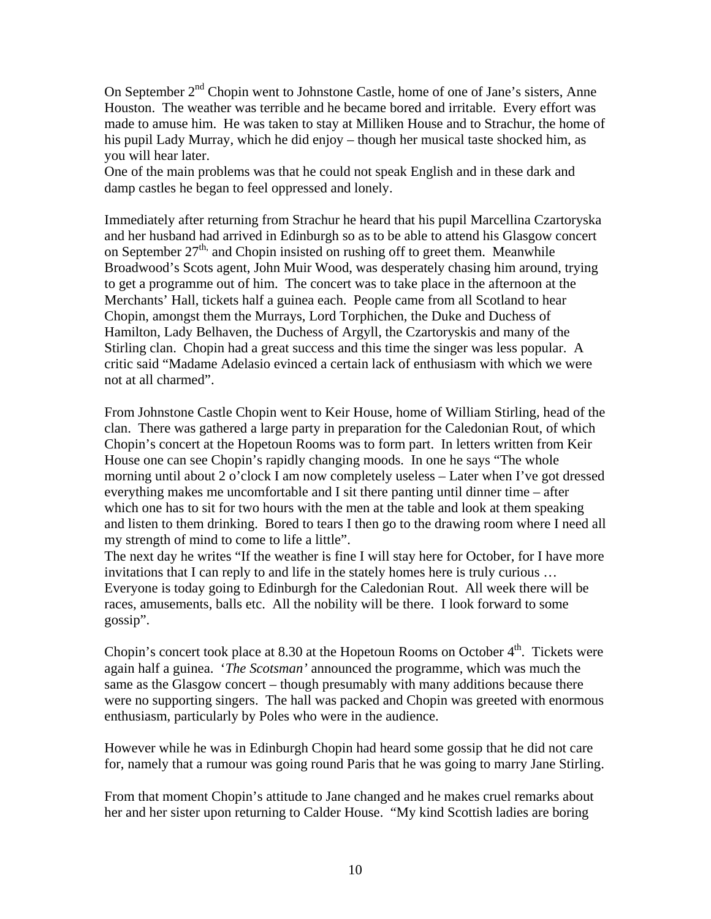On September 2<sup>nd</sup> Chopin went to Johnstone Castle, home of one of Jane's sisters, Anne Houston. The weather was terrible and he became bored and irritable. Every effort was made to amuse him. He was taken to stay at Milliken House and to Strachur, the home of his pupil Lady Murray, which he did enjoy – though her musical taste shocked him, as you will hear later.

One of the main problems was that he could not speak English and in these dark and damp castles he began to feel oppressed and lonely.

Immediately after returning from Strachur he heard that his pupil Marcellina Czartoryska and her husband had arrived in Edinburgh so as to be able to attend his Glasgow concert on September 27<sup>th,</sup> and Chopin insisted on rushing off to greet them. Meanwhile Broadwood's Scots agent, John Muir Wood, was desperately chasing him around, trying to get a programme out of him. The concert was to take place in the afternoon at the Merchants' Hall, tickets half a guinea each. People came from all Scotland to hear Chopin, amongst them the Murrays, Lord Torphichen, the Duke and Duchess of Hamilton, Lady Belhaven, the Duchess of Argyll, the Czartoryskis and many of the Stirling clan. Chopin had a great success and this time the singer was less popular. A critic said "Madame Adelasio evinced a certain lack of enthusiasm with which we were not at all charmed".

From Johnstone Castle Chopin went to Keir House, home of William Stirling, head of the clan. There was gathered a large party in preparation for the Caledonian Rout, of which Chopin's concert at the Hopetoun Rooms was to form part. In letters written from Keir House one can see Chopin's rapidly changing moods. In one he says "The whole morning until about 2 o'clock I am now completely useless – Later when I've got dressed everything makes me uncomfortable and I sit there panting until dinner time – after which one has to sit for two hours with the men at the table and look at them speaking and listen to them drinking. Bored to tears I then go to the drawing room where I need all my strength of mind to come to life a little".

The next day he writes "If the weather is fine I will stay here for October, for I have more invitations that I can reply to and life in the stately homes here is truly curious … Everyone is today going to Edinburgh for the Caledonian Rout. All week there will be races, amusements, balls etc. All the nobility will be there. I look forward to some gossip".

Chopin's concert took place at  $8.30$  at the Hopetoun Rooms on October  $4<sup>th</sup>$ . Tickets were again half a guinea. '*The Scotsman'* announced the programme, which was much the same as the Glasgow concert – though presumably with many additions because there were no supporting singers. The hall was packed and Chopin was greeted with enormous enthusiasm, particularly by Poles who were in the audience.

However while he was in Edinburgh Chopin had heard some gossip that he did not care for, namely that a rumour was going round Paris that he was going to marry Jane Stirling.

From that moment Chopin's attitude to Jane changed and he makes cruel remarks about her and her sister upon returning to Calder House. "My kind Scottish ladies are boring